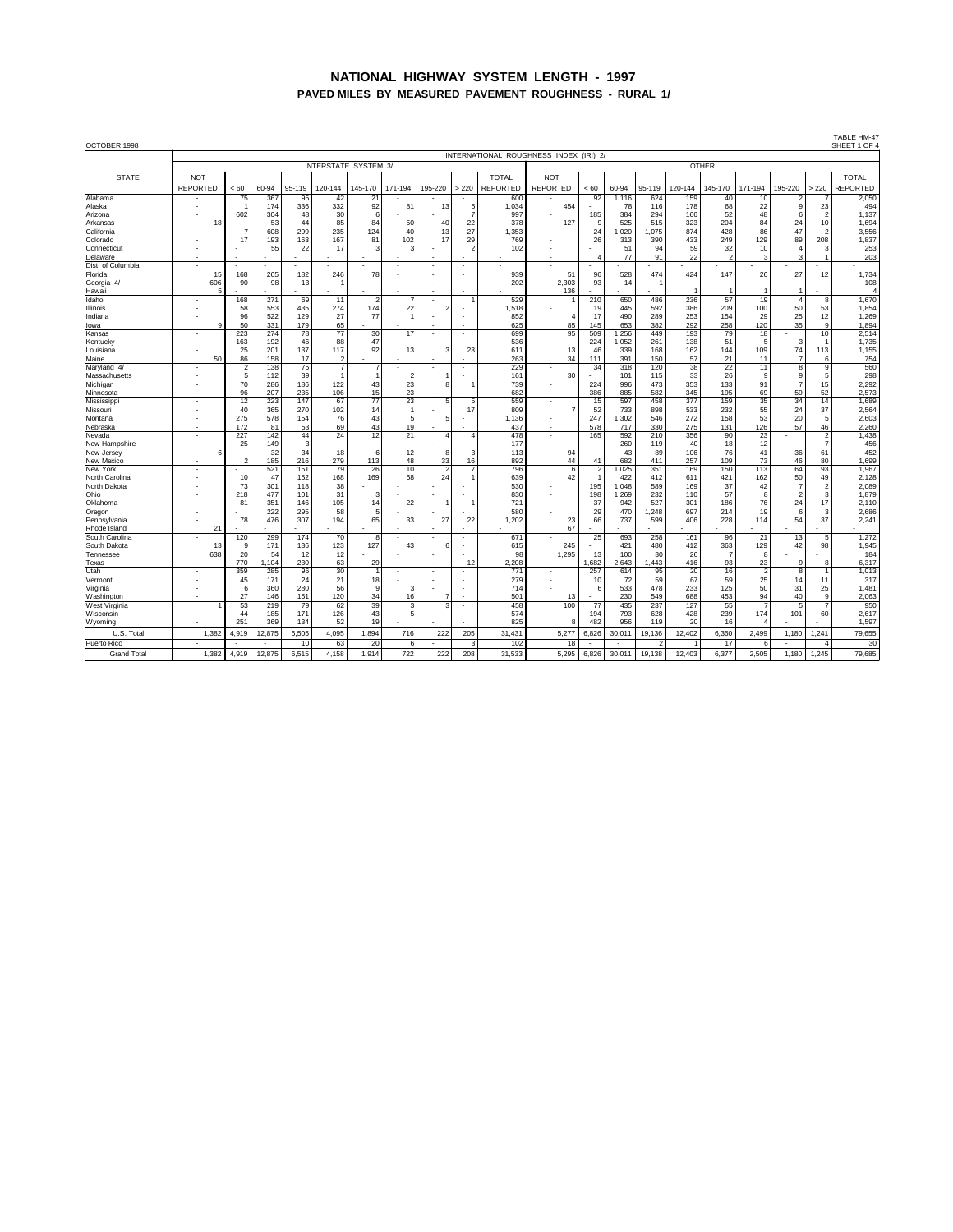### **NATIONAL HIGHWAY SYSTEM LENGTH - 1997 PAVED MILES BY MEASURED PAVEMENT ROUGHNESS - RURAL 1/**

| OCTOBER 1998                   |                                                                       |                 |                          |            |                |                         |                |                         |                     |                 |                 |                                  |              |                          |            |                      |                |                      |                      | TABLE HM-47<br>SHEET 1 OF 4 |
|--------------------------------|-----------------------------------------------------------------------|-----------------|--------------------------|------------|----------------|-------------------------|----------------|-------------------------|---------------------|-----------------|-----------------|----------------------------------|--------------|--------------------------|------------|----------------------|----------------|----------------------|----------------------|-----------------------------|
|                                | INTERNATIONAL ROUGHNESS INDEX (IRI) 2/<br><b>INTERSTATE SYSTEM 3/</b> |                 |                          |            |                |                         |                |                         |                     |                 |                 |                                  |              |                          |            |                      |                |                      |                      |                             |
|                                |                                                                       |                 |                          |            |                |                         |                |                         |                     |                 |                 |                                  |              |                          |            | <b>OTHER</b>         |                |                      |                      |                             |
| <b>STATE</b>                   | <b>NOT</b>                                                            |                 |                          |            |                |                         |                |                         |                     | <b>TOTAL</b>    | <b>NOT</b>      |                                  |              |                          |            |                      |                |                      |                      | <b>TOTAL</b>                |
|                                | <b>REPORTED</b>                                                       | < 60            | 60-94                    | 95-119     | 120-144        | 145-170                 | 171-194        | 195-220                 | >220                | <b>REPORTED</b> | <b>REPORTED</b> | < 60                             | 60-94        | 95-119                   | 120-144    | 145-170              | 171-194        | 195-220              | 220                  | <b>REPORTED</b>             |
| Alabama                        |                                                                       | 75              | 367                      | 95         | 42             | 21                      |                |                         |                     | 600             |                 | 92                               | 1,116        | 624                      | 159        | 40                   | 10             | $\overline{2}$       | 7                    | 2,050                       |
| Alaska                         |                                                                       | -1              | 174                      | 336        | 332            | 92                      | 81             | 13                      | 5<br>$\overline{7}$ | 1,034           | 454             |                                  | 78           | 116                      | 178        | 68                   | 22             | ۹                    | 23                   | 494                         |
| Arizona                        |                                                                       | 602             | 304                      | 48         | 30             | 6                       |                |                         |                     | 997             |                 | 185                              | 384          | 294                      | 166        | 52                   | 48             |                      | $\overline{2}$       | 1,137                       |
| Arkansas                       | 18<br>٠                                                               | $\overline{7}$  | 53<br>608                | 44<br>299  | 85<br>235      | 84<br>124               | 50<br>40       | 40<br>13                | 22<br>27            | 378<br>1.353    | 127             | 9<br>24                          | 525<br>1.020 | 515<br>1,075             | 323<br>874 | 204<br>428           | 84<br>86       | 24<br>47             | 10<br>$\mathfrak{p}$ | 1,694<br>3,556              |
| California<br>Colorado         |                                                                       | 17              | 193                      | 163        | 167            | 81                      | 102            | 17                      | 29                  | 769             |                 | 26                               | 313          | 390                      | 433        | 249                  | 129            | 89                   | 208                  | 1,837                       |
| Connecticut                    |                                                                       | ٠               | 55                       | 22         | 17             | 3                       | 3              |                         | $\overline{2}$      | 102             |                 |                                  | 51           | 94                       | 59         | 32                   | 10             | $\Delta$             | 3                    | 253                         |
| Delaware                       |                                                                       |                 |                          |            |                |                         |                |                         |                     |                 |                 |                                  | 77           | 91                       | 22         | $\overline{2}$       | з              | 3                    |                      | 203                         |
| Dist. of Columbia              |                                                                       |                 |                          |            |                |                         |                | ٠                       |                     |                 |                 |                                  |              |                          |            |                      |                |                      |                      |                             |
| Florida                        | 15                                                                    | 168             | 265                      | 182        | 246            | 78                      |                |                         |                     | 939             | 51              | 96                               | 528          | 474                      | 424        | 147                  | 26             | 27                   | 12                   | 1,734                       |
| Georgia 4/                     | 606                                                                   | 90              | 98                       | 13         |                |                         |                |                         |                     | 202             | 2.303           | 93                               | 14           | -1                       |            |                      |                |                      |                      | 108                         |
| Hawai                          |                                                                       |                 |                          |            |                |                         |                |                         |                     |                 | 136             |                                  |              |                          |            |                      |                |                      |                      | $\Delta$                    |
| Idaho                          |                                                                       | 168             | 271                      | 69         | 11             | $\overline{2}$<br>174   | $\overline{7}$ | ٠<br>$\overline{2}$     | 1                   | 529             |                 | 210                              | 650<br>445   | 486                      | 236<br>386 | 57                   | 19             | $\overline{4}$       | 8                    | 1,670                       |
| Illinois<br>Indiana            | $\overline{\phantom{a}}$                                              | 58<br>96        | 553<br>522               | 435<br>129 | 274<br>27      | 77                      | 22             |                         |                     | 1,518<br>852    | Δ               | 19<br>17                         | 490          | 592<br>289               | 253        | 209<br>154           | 100<br>29      | 50<br>25             | 53<br>12             | 1,854<br>1,269              |
| lowa                           | q                                                                     | 50              | 331                      | 179        | 65             |                         |                |                         |                     | 625             | 85              | 145                              | 653          | 382                      | 292        | 258                  | 120            | 35                   | $\mathbf{g}$         | 1,894                       |
| Kansas                         | ٠                                                                     | 223             | 274                      | 78         | 77             | 30                      | 17             | ٠                       |                     | 699             | 95              | 509                              | 1,256        | 449                      | 193        | 79                   | 18             |                      | 10                   | 2,514                       |
| Kentucky                       | ÷,                                                                    | 163             | 192                      | 46         | 88             | 47                      |                |                         |                     | 536             |                 | 224                              | 1.052        | 261                      | 138        | 51                   | 5              | 3                    | $\overline{1}$       | 1,735                       |
| Louisiana                      | ÷,                                                                    | 25              | 201                      | 137        | 117            | 92                      | 13             | 3                       | 23                  | 611             | 13              | 46                               | 339          | 168                      | 162        | 144                  | 109            | 74                   | 113                  | 1,155                       |
| Maine                          | 50                                                                    | 86              | 158                      | 17         | $\mathcal{P}$  |                         |                |                         |                     | 263             | 34              | 111                              | 391          | 150                      | 57         | 21                   | 11             | $\overline{7}$       | 6                    | 754                         |
| Maryland 4/                    | ٠                                                                     | $\overline{2}$  | 138                      | 75         | $\overline{7}$ | $\overline{7}$          |                |                         |                     | 229             |                 | 34                               | 318          | 120                      | 38         | 22                   | 11             | 8                    | 9                    | 560                         |
| Massachusetts                  |                                                                       | 5               | 112                      | 39         |                | -1                      | 2              |                         |                     | 161             | 30              |                                  | 101          | 115                      | 33         | 26                   | 9              | 9                    | 5                    | 298                         |
| Michigan                       |                                                                       | 70              | 286                      | 186        | 122            | 43                      | 23             | 8                       | 1                   | 739             |                 | 224                              | 996          | 473                      | 353        | 133                  | 91             | 7                    | 15                   | 2,292                       |
| Minnesota<br>Mississippi       | ٠                                                                     | 96<br>12        | 207<br>223               | 235<br>147 | 106<br>67      | 15<br>77                | 23<br>23       | 5                       | 5                   | 682<br>559      |                 | 386<br>15                        | 885<br>597   | 582<br>458               | 345<br>377 | 195<br>159           | 69<br>35       | 59<br>34             | 52<br>14             | 2.573<br>1,689              |
| Missouri                       | J.                                                                    | 40              | 365                      | 270        | 102            | 14                      | -1             |                         | 17                  | 809             | 7               | 52                               | 733          | 898                      | 533        | 232                  | 55             | 24                   | 37                   | 2,564                       |
| Montana                        |                                                                       | 275             | 578                      | 154        | 76             | 43                      | 5              | 5                       |                     | 1,136           |                 | 247                              | 1,302        | 546                      | 272        | 158                  | 53             | 20                   | 5                    | 2,603                       |
| Nebraska                       |                                                                       | 172             | 81                       | 53         | 69             | 43                      | 19             |                         |                     | 437             |                 | 578                              | 717          | 330                      | 275        | 131                  | 126            | 57                   | 46                   | 2,260                       |
| Nevada                         | ٠                                                                     | 227             | 142                      | 44         | 24             | 12                      | 21             | 4                       | 4                   | 478             | ٠               | 165                              | 592          | 210                      | 356        | 90                   | 23             |                      | $\overline{2}$       | 1,438                       |
| New Hampshire                  |                                                                       | 25              | 149                      | 3          |                |                         |                |                         |                     | 177             |                 |                                  | 260          | 119                      | 40         | 18                   | 12             |                      | $\overline{7}$       | 456                         |
| New Jersey                     | 6                                                                     | ٠               | 32                       | 34         | 18             | 6                       | 12             | 8                       | 3                   | 113             | 94              |                                  | 43           | 89                       | 106        | 76                   | 41             | 36                   | 61                   | 452                         |
| New Mexico                     |                                                                       |                 | 185                      | 216        | 279            | 113                     | 48             | 33                      | 16                  | 892             | 44              | 41                               | 682          | 411                      | 257        | 109                  | 73             | 46                   | 80                   | 1,699                       |
| New York                       |                                                                       |                 | 521                      | 151        | 79             | 26                      | 10             | $\overline{2}$          | $\overline{7}$<br>1 | 796             | 6               | $\overline{2}$<br>$\overline{1}$ | 1,025        | 351                      | 169        | 150                  | 113            | 64                   | 93                   | 1,967                       |
| North Carolina<br>North Dakota | ٠<br>÷,                                                               | 10<br>73        | 47<br>301                | 152<br>118 | 168<br>38      | 169                     | 68             | 24                      |                     | 639<br>530      | 42              | 195                              | 422<br>1.048 | 412<br>589               | 611<br>169 | 421<br>37            | 162<br>42      | 50<br>$\overline{7}$ | 49<br>$\overline{2}$ | 2,128<br>2.089              |
| Ohio                           |                                                                       | 218             | 477                      | 101        | 31             | $\overline{\mathbf{3}}$ |                |                         |                     | 830             |                 | 198                              | 1,269        | 232                      | 110        | 57                   | 8              | $\mathfrak{p}$       | 3                    | 1,879                       |
| Oklahoma                       | ٠                                                                     | 81              | 351                      | 146        | 105            | 14                      | 22             |                         | -1                  | 721             |                 | $\overline{37}$                  | 942          | 527                      | 301        | 186                  | 76             | 24                   | 17                   | 2,110                       |
| Oregon                         | ٠                                                                     |                 | 222                      | 295        | 58             | 5                       |                |                         |                     | 580             |                 | 29                               | 470          | 1,248                    | 697        | 214                  | 19             | 6                    | 3                    | 2,686                       |
| Pennsylvania                   |                                                                       | 78              | 476                      | 307        | 194            | 65                      | 33             | 27                      | 22                  | 1,202           | 23              | 66                               | 737          | 599                      | 406        | 228                  | 114            | 54                   | 37                   | 2,241                       |
| Rhode Island                   | 21                                                                    |                 |                          |            |                |                         |                |                         |                     |                 | 67              |                                  |              |                          |            |                      |                |                      |                      |                             |
| South Carolina                 |                                                                       | 120             | 299                      | 174        | 70             | 8                       | ٠              |                         |                     | 671             |                 | 25                               | 693          | 258                      | 161        | 96                   | 21             | $\overline{13}$      | 5                    | 1,272                       |
| South Dakota                   | 13                                                                    | 9               | 171                      | 136        | 123            | 127                     | 43             | 6                       |                     | 615             | 245             |                                  | 421          | 480                      | 412        | 363                  | 129            | 42                   | 98                   | 1,945                       |
| Tennessee                      | 638                                                                   | 20<br>770       | 54<br>1,104              | 12<br>230  | 12<br>63       | 29                      |                |                         | 12                  | 98<br>2,208     | 1,295           | 13<br>.682                       | 100<br>2.643 | 30<br>.443               | 26<br>416  | $\overline{7}$<br>93 | 8<br>23        | 9                    | 8                    | 184<br>6,317                |
| Texas<br>Utah                  |                                                                       | 359             | 285                      | 96         | 30             |                         |                |                         |                     | 771             |                 | 257                              | 614          | 95                       | 20         | 16                   | $\overline{2}$ | 8                    | 1                    | 1,013                       |
| Vermont                        |                                                                       | 45              | 171                      | 24         | 21             | 18                      |                |                         |                     | 279             |                 | 10                               | 72           | 59                       | 67         | 59                   | 25             | 14                   | 11                   | 317                         |
| Virginia                       |                                                                       | 6               | 360                      | 280        | 56             | 9                       | з              |                         |                     | 714             |                 | 6                                | 533          | 478                      | 233        | 125                  | 50             | 31                   | 25                   | 1,481                       |
| Washington                     |                                                                       | 27              | 146                      | 151        | 120            | 34                      | 16             | $\overline{7}$          |                     | 501             | 13              |                                  | 230          | 549                      | 688        | 453                  | 94             | 40                   | 9                    | 2,063                       |
| West Virginia                  |                                                                       | 53              | 219                      | 79         | 62             | 39                      | 3              | $\overline{\mathbf{3}}$ |                     | 458             | 100             | 77                               | 435          | 237                      | 127        | 55                   | $\overline{7}$ | 5                    | 7                    | 950                         |
| Wisconsin                      |                                                                       | 44              | 185                      | 171        | 126            | 43                      | 5              |                         |                     | 574             |                 | 194                              | 793          | 628                      | 428        | 239                  | 174            | 101                  | 60                   | 2,617                       |
| Wyoming                        |                                                                       | 25 <sup>1</sup> | 369                      | 134        | 52             | 19                      |                |                         |                     | 825             | я               | 482                              | 956          | 119                      | 20         | 16                   |                |                      |                      | 1,597                       |
| U.S. Total                     | 1.382                                                                 | 4,919           | 12,875                   | 6,505      | 4,095          | 1,894                   | 716            | 222                     | 205                 | 31,431          | 5.277           | 6.826                            | 30.011       | 19,136                   | 12,402     | 6,360                | 2.499          | 1,180                | 1,241                | 79,655                      |
| Puerto Rico                    | $\overline{\phantom{a}}$                                              | ٠               | $\overline{\phantom{a}}$ | 10         | 63             | 20                      | 6              | ٠                       | 3                   | 102             | 18              |                                  | ÷.           | $\overline{\phantom{a}}$ | -1         | 17                   | 6              |                      | 4                    | 30                          |
| <b>Grand Total</b>             | 1.382                                                                 | 4.919           | 12,875                   | 6.515      | 4,158          | 1.914                   | 722            | 222                     | 208                 | 31.533          | 5.295           | 6.826                            | 30.011       | 19,138                   | 12.403     | 6.377                | 2.505          | 1,180                | 1.245                | 79,685                      |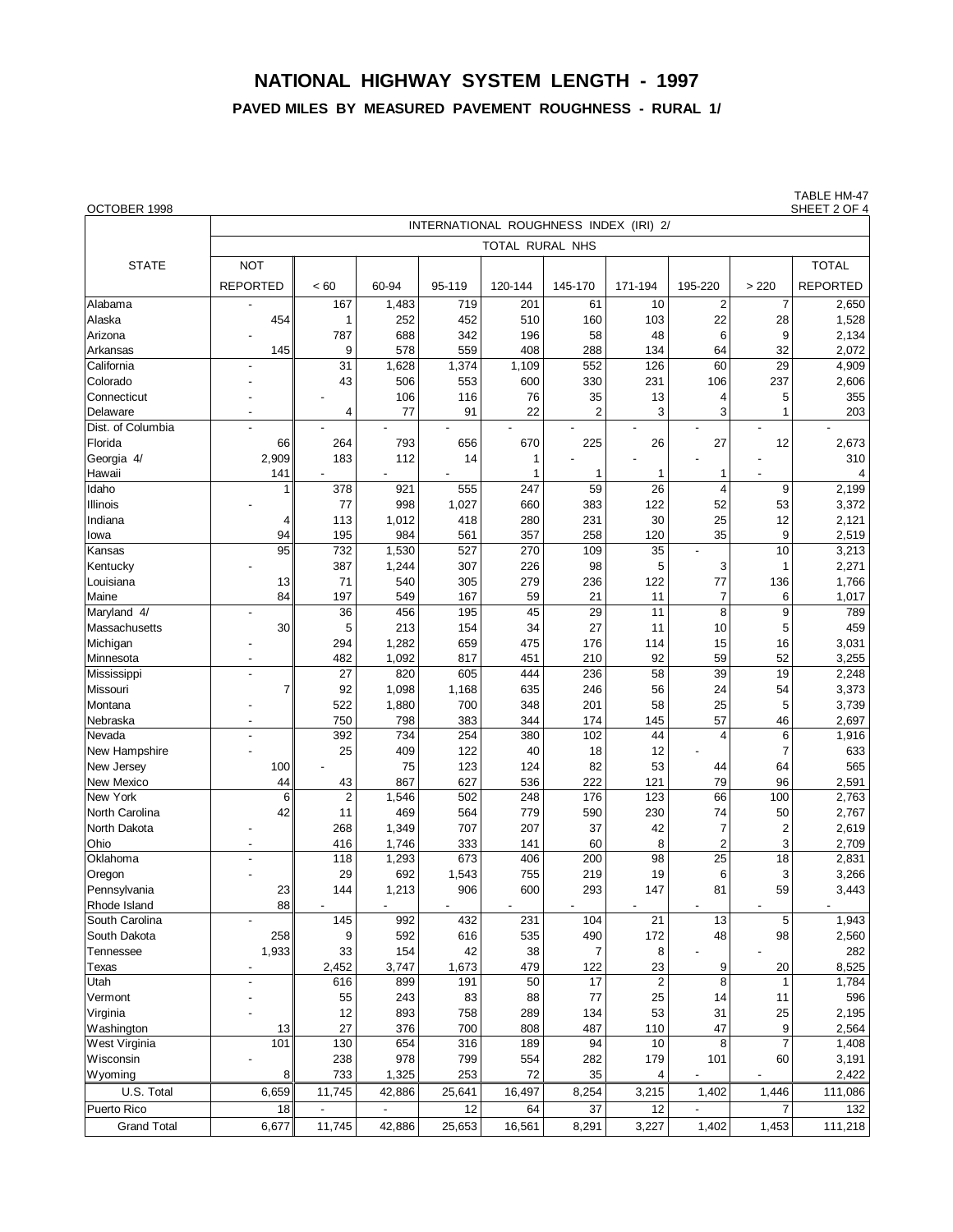## **NATIONAL HIGHWAY SYSTEM LENGTH - 1997**

## **PAVED MILES BY MEASURED PAVEMENT ROUGHNESS - RURAL 1/**

TABLE HM-47<br>SHEET 2 OF 4

| INTERNATIONAL ROUGHNESS INDEX (IRI) 2/<br>TOTAL RURAL NHS<br><b>TOTAL</b><br><b>NOT</b><br><b>STATE</b><br><b>REPORTED</b><br><b>REPORTED</b><br>60-94<br>95-119<br>120-144<br>171-194<br>195-220<br>< 60<br>145-170<br>> 220<br>$\overline{2}$<br>Alabama<br>167<br>719<br>201<br>61<br>$\overline{7}$<br>2,650<br>1,483<br>10<br>Alaska<br>454<br>1<br>252<br>452<br>510<br>160<br>103<br>22<br>28<br>1,528<br>787<br>342<br>196<br>58<br>48<br>6<br>9<br>2,134<br>Arizona<br>688<br>2,072<br>9<br>578<br>559<br>408<br>288<br>134<br>64<br>32<br>Arkansas<br>145<br>31<br>1,628<br>552<br>126<br>29<br>4,909<br>California<br>1,374<br>1,109<br>60<br>43<br>506<br>553<br>600<br>330<br>231<br>106<br>237<br>2,606<br>Colorado<br>355<br>106<br>116<br>76<br>35<br>13<br>5<br>Connecticut<br>4<br>22<br>3<br>$\overline{4}$<br>77<br>91<br>$\overline{2}$<br>3<br>203<br>Delaware<br>$\mathbf{1}$<br>Dist. of Columbia<br>Florida<br>264<br>793<br>656<br>670<br>225<br>26<br>27<br>12<br>2,673<br>66<br>2,909<br>310<br>Georgia 4/<br>183<br>112<br>14<br>1<br>141<br>Hawaii<br>1<br>1<br>4<br>1<br>1<br>555<br>2,199<br>Idaho<br>1<br>378<br>921<br>247<br>59<br>26<br>$\overline{4}$<br>9<br>998<br>Illinois<br>1,027<br>660<br>383<br>122<br>52<br>53<br>3,372<br>77<br>113<br>418<br>280<br>231<br>30<br>25<br>12<br>2,121<br>Indiana<br>1,012<br>4<br>94<br>195<br>984<br>561<br>357<br>258<br>120<br>35<br>9<br>2,519<br>lowa<br>95<br>109<br>35<br>10<br>3,213<br>732<br>1,530<br>527<br>270<br>Kansas<br>5<br>2,271<br>387<br>1,244<br>307<br>226<br>98<br>Kentucky<br>3<br>1<br>13<br>71<br>540<br>305<br>279<br>236<br>122<br>77<br>136<br>1,766<br>Louisiana<br>84<br>59<br>1,017<br>Maine<br>197<br>549<br>167<br>21<br>11<br>6<br>7<br>36<br>456<br>45<br>29<br>11<br>8<br>9<br>789<br>Maryland 4/<br>195<br>5<br>27<br>459<br>30<br>213<br>154<br>34<br>11<br>5<br>Massachusetts<br>10<br>475<br>3,031<br>Michigan<br>294<br>1,282<br>659<br>176<br>15<br>16<br>114<br>92<br>482<br>1,092<br>817<br>451<br>210<br>59<br>52<br>3,255<br>Minnesota<br>820<br>2,248<br>27<br>605<br>444<br>236<br>58<br>39<br>19<br>Mississippi<br>7<br>3,373<br>92<br>1,098<br>1,168<br>635<br>246<br>56<br>24<br>54<br>Missouri<br>1,880<br>Montana<br>522<br>700<br>348<br>201<br>58<br>25<br>5<br>3,739<br>Nebraska<br>750<br>798<br>57<br>2,697<br>383<br>344<br>174<br>145<br>46<br>392<br>734<br>380<br>102<br>Nevada<br>254<br>44<br>$\overline{4}$<br>6<br>1,916<br>40<br>18<br>633<br>New Hampshire<br>25<br>409<br>122<br>12<br>$\overline{7}$<br>82<br>565<br>100<br>75<br>123<br>53<br>64<br>New Jersey<br>124<br>44<br>44<br>867<br>627<br>222<br>96<br>New Mexico<br>43<br>536<br>121<br>79<br>2,591<br>$\overline{\mathbf{c}}$<br>New York<br>6<br>1,546<br>176<br>123<br>2,763<br>502<br>248<br>66<br>100<br>North Carolina<br>42<br>11<br>469<br>564<br>779<br>590<br>230<br>50<br>2,767<br>74<br>North Dakota<br>268<br>1,349<br>707<br>207<br>37<br>42<br>$\overline{\mathbf{c}}$<br>2,619<br>$\overline{7}$<br>8<br>$\overline{2}$<br>3<br>Ohio<br>416<br>1,746<br>333<br>141<br>60<br>2,709<br>673<br>98<br>25<br>18<br>Oklahoma<br>118<br>1,293<br>406<br>200<br>2,831<br>29<br>692<br>219<br>19<br>6<br>3<br>3,266<br>Oregon<br>1,543<br>755<br>906<br>23<br>600<br>293<br>147<br>81<br>59<br>3,443<br>Pennsylvania<br>144<br>1,213<br>Rhode Island<br>88<br>$\overline{\phantom{a}}$<br>$\overline{\phantom{a}}$<br>$\overline{\phantom{a}}$<br>$\overline{a}$<br>145<br>992<br>231<br>104<br>21<br>13<br>5<br>1,943<br>South Carolina<br>432<br>South Dakota<br>258<br>592<br>535<br>490<br>172<br>2,560<br>9<br>616<br>48<br>98<br>282<br>1,933<br>33<br>154<br>42<br>38<br>7<br>Tennessee<br>8<br>8,525<br>2,452<br>3,747<br>1,673<br>479<br>23<br>Texas<br>122<br>20<br>9<br>Utah<br>899<br>191<br>50<br>17<br>2<br>1,784<br>616<br>8<br>1<br>83<br>88<br>77<br>25<br>596<br>Vermont<br>55<br>243<br>11<br>14<br>12<br>893<br>2,195<br>Virginia<br>758<br>289<br>134<br>53<br>25<br>31<br>Washington<br>27<br>376<br>700<br>2,564<br>808<br>487<br>110<br>47<br>9<br>13<br>West Virginia<br>101<br>130<br>654<br>316<br>189<br>94<br>10<br>8<br>$\overline{7}$<br>1,408<br>Wisconsin<br>238<br>978<br>799<br>554<br>282<br>3,191<br>179<br>101<br>60<br>Wyoming<br>733<br>1,325<br>253<br>72<br>35<br>2,422<br>8<br>4<br>U.S. Total<br>6,659<br>11,745<br>25,641<br>16,497<br>8,254<br>3,215<br>1,446<br>42,886<br>1,402<br>111,086<br>12<br>37<br>Puerto Rico<br>18<br>64<br>12<br>$\overline{7}$<br>132<br>$\overline{\phantom{a}}$<br><b>Grand Total</b><br>6,677<br>11,745<br>42,886<br>25,653<br>16,561<br>8,291<br>3,227<br>1,402<br>1,453<br>111,218 | OCTOBER 1998 |  |  |  |  |  |  |  |  |  | SHEET 2 OF 4 |  |  |  |  |
|-----------------------------------------------------------------------------------------------------------------------------------------------------------------------------------------------------------------------------------------------------------------------------------------------------------------------------------------------------------------------------------------------------------------------------------------------------------------------------------------------------------------------------------------------------------------------------------------------------------------------------------------------------------------------------------------------------------------------------------------------------------------------------------------------------------------------------------------------------------------------------------------------------------------------------------------------------------------------------------------------------------------------------------------------------------------------------------------------------------------------------------------------------------------------------------------------------------------------------------------------------------------------------------------------------------------------------------------------------------------------------------------------------------------------------------------------------------------------------------------------------------------------------------------------------------------------------------------------------------------------------------------------------------------------------------------------------------------------------------------------------------------------------------------------------------------------------------------------------------------------------------------------------------------------------------------------------------------------------------------------------------------------------------------------------------------------------------------------------------------------------------------------------------------------------------------------------------------------------------------------------------------------------------------------------------------------------------------------------------------------------------------------------------------------------------------------------------------------------------------------------------------------------------------------------------------------------------------------------------------------------------------------------------------------------------------------------------------------------------------------------------------------------------------------------------------------------------------------------------------------------------------------------------------------------------------------------------------------------------------------------------------------------------------------------------------------------------------------------------------------------------------------------------------------------------------------------------------------------------------------------------------------------------------------------------------------------------------------------------------------------------------------------------------------------------------------------------------------------------------------------------------------------------------------------------------------------------------------------------------------------------------------------------------------------------------------------------------------------------------------------------------------------------------------------------------------------------------------------------------------------------------------------------------------------------------------------------------------------------------------------------------------------------------------------------------------------------------------------------------------------------------------------------------------------------------------------------------------------------------------------------------------------------------------------------------------------------------------------------------------------------------------------------------------------------------------------------------------------------------------------------------------------------------------------------------------------------------------------------------------------------------------------------------------------------------|--------------|--|--|--|--|--|--|--|--|--|--------------|--|--|--|--|
|                                                                                                                                                                                                                                                                                                                                                                                                                                                                                                                                                                                                                                                                                                                                                                                                                                                                                                                                                                                                                                                                                                                                                                                                                                                                                                                                                                                                                                                                                                                                                                                                                                                                                                                                                                                                                                                                                                                                                                                                                                                                                                                                                                                                                                                                                                                                                                                                                                                                                                                                                                                                                                                                                                                                                                                                                                                                                                                                                                                                                                                                                                                                                                                                                                                                                                                                                                                                                                                                                                                                                                                                                                                                                                                                                                                                                                                                                                                                                                                                                                                                                                                                                                                                                                                                                                                                                                                                                                                                                                                                                                                                                                                                                         |              |  |  |  |  |  |  |  |  |  |              |  |  |  |  |
|                                                                                                                                                                                                                                                                                                                                                                                                                                                                                                                                                                                                                                                                                                                                                                                                                                                                                                                                                                                                                                                                                                                                                                                                                                                                                                                                                                                                                                                                                                                                                                                                                                                                                                                                                                                                                                                                                                                                                                                                                                                                                                                                                                                                                                                                                                                                                                                                                                                                                                                                                                                                                                                                                                                                                                                                                                                                                                                                                                                                                                                                                                                                                                                                                                                                                                                                                                                                                                                                                                                                                                                                                                                                                                                                                                                                                                                                                                                                                                                                                                                                                                                                                                                                                                                                                                                                                                                                                                                                                                                                                                                                                                                                                         |              |  |  |  |  |  |  |  |  |  |              |  |  |  |  |
|                                                                                                                                                                                                                                                                                                                                                                                                                                                                                                                                                                                                                                                                                                                                                                                                                                                                                                                                                                                                                                                                                                                                                                                                                                                                                                                                                                                                                                                                                                                                                                                                                                                                                                                                                                                                                                                                                                                                                                                                                                                                                                                                                                                                                                                                                                                                                                                                                                                                                                                                                                                                                                                                                                                                                                                                                                                                                                                                                                                                                                                                                                                                                                                                                                                                                                                                                                                                                                                                                                                                                                                                                                                                                                                                                                                                                                                                                                                                                                                                                                                                                                                                                                                                                                                                                                                                                                                                                                                                                                                                                                                                                                                                                         |              |  |  |  |  |  |  |  |  |  |              |  |  |  |  |
|                                                                                                                                                                                                                                                                                                                                                                                                                                                                                                                                                                                                                                                                                                                                                                                                                                                                                                                                                                                                                                                                                                                                                                                                                                                                                                                                                                                                                                                                                                                                                                                                                                                                                                                                                                                                                                                                                                                                                                                                                                                                                                                                                                                                                                                                                                                                                                                                                                                                                                                                                                                                                                                                                                                                                                                                                                                                                                                                                                                                                                                                                                                                                                                                                                                                                                                                                                                                                                                                                                                                                                                                                                                                                                                                                                                                                                                                                                                                                                                                                                                                                                                                                                                                                                                                                                                                                                                                                                                                                                                                                                                                                                                                                         |              |  |  |  |  |  |  |  |  |  |              |  |  |  |  |
|                                                                                                                                                                                                                                                                                                                                                                                                                                                                                                                                                                                                                                                                                                                                                                                                                                                                                                                                                                                                                                                                                                                                                                                                                                                                                                                                                                                                                                                                                                                                                                                                                                                                                                                                                                                                                                                                                                                                                                                                                                                                                                                                                                                                                                                                                                                                                                                                                                                                                                                                                                                                                                                                                                                                                                                                                                                                                                                                                                                                                                                                                                                                                                                                                                                                                                                                                                                                                                                                                                                                                                                                                                                                                                                                                                                                                                                                                                                                                                                                                                                                                                                                                                                                                                                                                                                                                                                                                                                                                                                                                                                                                                                                                         |              |  |  |  |  |  |  |  |  |  |              |  |  |  |  |
|                                                                                                                                                                                                                                                                                                                                                                                                                                                                                                                                                                                                                                                                                                                                                                                                                                                                                                                                                                                                                                                                                                                                                                                                                                                                                                                                                                                                                                                                                                                                                                                                                                                                                                                                                                                                                                                                                                                                                                                                                                                                                                                                                                                                                                                                                                                                                                                                                                                                                                                                                                                                                                                                                                                                                                                                                                                                                                                                                                                                                                                                                                                                                                                                                                                                                                                                                                                                                                                                                                                                                                                                                                                                                                                                                                                                                                                                                                                                                                                                                                                                                                                                                                                                                                                                                                                                                                                                                                                                                                                                                                                                                                                                                         |              |  |  |  |  |  |  |  |  |  |              |  |  |  |  |
|                                                                                                                                                                                                                                                                                                                                                                                                                                                                                                                                                                                                                                                                                                                                                                                                                                                                                                                                                                                                                                                                                                                                                                                                                                                                                                                                                                                                                                                                                                                                                                                                                                                                                                                                                                                                                                                                                                                                                                                                                                                                                                                                                                                                                                                                                                                                                                                                                                                                                                                                                                                                                                                                                                                                                                                                                                                                                                                                                                                                                                                                                                                                                                                                                                                                                                                                                                                                                                                                                                                                                                                                                                                                                                                                                                                                                                                                                                                                                                                                                                                                                                                                                                                                                                                                                                                                                                                                                                                                                                                                                                                                                                                                                         |              |  |  |  |  |  |  |  |  |  |              |  |  |  |  |
|                                                                                                                                                                                                                                                                                                                                                                                                                                                                                                                                                                                                                                                                                                                                                                                                                                                                                                                                                                                                                                                                                                                                                                                                                                                                                                                                                                                                                                                                                                                                                                                                                                                                                                                                                                                                                                                                                                                                                                                                                                                                                                                                                                                                                                                                                                                                                                                                                                                                                                                                                                                                                                                                                                                                                                                                                                                                                                                                                                                                                                                                                                                                                                                                                                                                                                                                                                                                                                                                                                                                                                                                                                                                                                                                                                                                                                                                                                                                                                                                                                                                                                                                                                                                                                                                                                                                                                                                                                                                                                                                                                                                                                                                                         |              |  |  |  |  |  |  |  |  |  |              |  |  |  |  |
|                                                                                                                                                                                                                                                                                                                                                                                                                                                                                                                                                                                                                                                                                                                                                                                                                                                                                                                                                                                                                                                                                                                                                                                                                                                                                                                                                                                                                                                                                                                                                                                                                                                                                                                                                                                                                                                                                                                                                                                                                                                                                                                                                                                                                                                                                                                                                                                                                                                                                                                                                                                                                                                                                                                                                                                                                                                                                                                                                                                                                                                                                                                                                                                                                                                                                                                                                                                                                                                                                                                                                                                                                                                                                                                                                                                                                                                                                                                                                                                                                                                                                                                                                                                                                                                                                                                                                                                                                                                                                                                                                                                                                                                                                         |              |  |  |  |  |  |  |  |  |  |              |  |  |  |  |
|                                                                                                                                                                                                                                                                                                                                                                                                                                                                                                                                                                                                                                                                                                                                                                                                                                                                                                                                                                                                                                                                                                                                                                                                                                                                                                                                                                                                                                                                                                                                                                                                                                                                                                                                                                                                                                                                                                                                                                                                                                                                                                                                                                                                                                                                                                                                                                                                                                                                                                                                                                                                                                                                                                                                                                                                                                                                                                                                                                                                                                                                                                                                                                                                                                                                                                                                                                                                                                                                                                                                                                                                                                                                                                                                                                                                                                                                                                                                                                                                                                                                                                                                                                                                                                                                                                                                                                                                                                                                                                                                                                                                                                                                                         |              |  |  |  |  |  |  |  |  |  |              |  |  |  |  |
|                                                                                                                                                                                                                                                                                                                                                                                                                                                                                                                                                                                                                                                                                                                                                                                                                                                                                                                                                                                                                                                                                                                                                                                                                                                                                                                                                                                                                                                                                                                                                                                                                                                                                                                                                                                                                                                                                                                                                                                                                                                                                                                                                                                                                                                                                                                                                                                                                                                                                                                                                                                                                                                                                                                                                                                                                                                                                                                                                                                                                                                                                                                                                                                                                                                                                                                                                                                                                                                                                                                                                                                                                                                                                                                                                                                                                                                                                                                                                                                                                                                                                                                                                                                                                                                                                                                                                                                                                                                                                                                                                                                                                                                                                         |              |  |  |  |  |  |  |  |  |  |              |  |  |  |  |
|                                                                                                                                                                                                                                                                                                                                                                                                                                                                                                                                                                                                                                                                                                                                                                                                                                                                                                                                                                                                                                                                                                                                                                                                                                                                                                                                                                                                                                                                                                                                                                                                                                                                                                                                                                                                                                                                                                                                                                                                                                                                                                                                                                                                                                                                                                                                                                                                                                                                                                                                                                                                                                                                                                                                                                                                                                                                                                                                                                                                                                                                                                                                                                                                                                                                                                                                                                                                                                                                                                                                                                                                                                                                                                                                                                                                                                                                                                                                                                                                                                                                                                                                                                                                                                                                                                                                                                                                                                                                                                                                                                                                                                                                                         |              |  |  |  |  |  |  |  |  |  |              |  |  |  |  |
|                                                                                                                                                                                                                                                                                                                                                                                                                                                                                                                                                                                                                                                                                                                                                                                                                                                                                                                                                                                                                                                                                                                                                                                                                                                                                                                                                                                                                                                                                                                                                                                                                                                                                                                                                                                                                                                                                                                                                                                                                                                                                                                                                                                                                                                                                                                                                                                                                                                                                                                                                                                                                                                                                                                                                                                                                                                                                                                                                                                                                                                                                                                                                                                                                                                                                                                                                                                                                                                                                                                                                                                                                                                                                                                                                                                                                                                                                                                                                                                                                                                                                                                                                                                                                                                                                                                                                                                                                                                                                                                                                                                                                                                                                         |              |  |  |  |  |  |  |  |  |  |              |  |  |  |  |
|                                                                                                                                                                                                                                                                                                                                                                                                                                                                                                                                                                                                                                                                                                                                                                                                                                                                                                                                                                                                                                                                                                                                                                                                                                                                                                                                                                                                                                                                                                                                                                                                                                                                                                                                                                                                                                                                                                                                                                                                                                                                                                                                                                                                                                                                                                                                                                                                                                                                                                                                                                                                                                                                                                                                                                                                                                                                                                                                                                                                                                                                                                                                                                                                                                                                                                                                                                                                                                                                                                                                                                                                                                                                                                                                                                                                                                                                                                                                                                                                                                                                                                                                                                                                                                                                                                                                                                                                                                                                                                                                                                                                                                                                                         |              |  |  |  |  |  |  |  |  |  |              |  |  |  |  |
|                                                                                                                                                                                                                                                                                                                                                                                                                                                                                                                                                                                                                                                                                                                                                                                                                                                                                                                                                                                                                                                                                                                                                                                                                                                                                                                                                                                                                                                                                                                                                                                                                                                                                                                                                                                                                                                                                                                                                                                                                                                                                                                                                                                                                                                                                                                                                                                                                                                                                                                                                                                                                                                                                                                                                                                                                                                                                                                                                                                                                                                                                                                                                                                                                                                                                                                                                                                                                                                                                                                                                                                                                                                                                                                                                                                                                                                                                                                                                                                                                                                                                                                                                                                                                                                                                                                                                                                                                                                                                                                                                                                                                                                                                         |              |  |  |  |  |  |  |  |  |  |              |  |  |  |  |
|                                                                                                                                                                                                                                                                                                                                                                                                                                                                                                                                                                                                                                                                                                                                                                                                                                                                                                                                                                                                                                                                                                                                                                                                                                                                                                                                                                                                                                                                                                                                                                                                                                                                                                                                                                                                                                                                                                                                                                                                                                                                                                                                                                                                                                                                                                                                                                                                                                                                                                                                                                                                                                                                                                                                                                                                                                                                                                                                                                                                                                                                                                                                                                                                                                                                                                                                                                                                                                                                                                                                                                                                                                                                                                                                                                                                                                                                                                                                                                                                                                                                                                                                                                                                                                                                                                                                                                                                                                                                                                                                                                                                                                                                                         |              |  |  |  |  |  |  |  |  |  |              |  |  |  |  |
|                                                                                                                                                                                                                                                                                                                                                                                                                                                                                                                                                                                                                                                                                                                                                                                                                                                                                                                                                                                                                                                                                                                                                                                                                                                                                                                                                                                                                                                                                                                                                                                                                                                                                                                                                                                                                                                                                                                                                                                                                                                                                                                                                                                                                                                                                                                                                                                                                                                                                                                                                                                                                                                                                                                                                                                                                                                                                                                                                                                                                                                                                                                                                                                                                                                                                                                                                                                                                                                                                                                                                                                                                                                                                                                                                                                                                                                                                                                                                                                                                                                                                                                                                                                                                                                                                                                                                                                                                                                                                                                                                                                                                                                                                         |              |  |  |  |  |  |  |  |  |  |              |  |  |  |  |
|                                                                                                                                                                                                                                                                                                                                                                                                                                                                                                                                                                                                                                                                                                                                                                                                                                                                                                                                                                                                                                                                                                                                                                                                                                                                                                                                                                                                                                                                                                                                                                                                                                                                                                                                                                                                                                                                                                                                                                                                                                                                                                                                                                                                                                                                                                                                                                                                                                                                                                                                                                                                                                                                                                                                                                                                                                                                                                                                                                                                                                                                                                                                                                                                                                                                                                                                                                                                                                                                                                                                                                                                                                                                                                                                                                                                                                                                                                                                                                                                                                                                                                                                                                                                                                                                                                                                                                                                                                                                                                                                                                                                                                                                                         |              |  |  |  |  |  |  |  |  |  |              |  |  |  |  |
|                                                                                                                                                                                                                                                                                                                                                                                                                                                                                                                                                                                                                                                                                                                                                                                                                                                                                                                                                                                                                                                                                                                                                                                                                                                                                                                                                                                                                                                                                                                                                                                                                                                                                                                                                                                                                                                                                                                                                                                                                                                                                                                                                                                                                                                                                                                                                                                                                                                                                                                                                                                                                                                                                                                                                                                                                                                                                                                                                                                                                                                                                                                                                                                                                                                                                                                                                                                                                                                                                                                                                                                                                                                                                                                                                                                                                                                                                                                                                                                                                                                                                                                                                                                                                                                                                                                                                                                                                                                                                                                                                                                                                                                                                         |              |  |  |  |  |  |  |  |  |  |              |  |  |  |  |
|                                                                                                                                                                                                                                                                                                                                                                                                                                                                                                                                                                                                                                                                                                                                                                                                                                                                                                                                                                                                                                                                                                                                                                                                                                                                                                                                                                                                                                                                                                                                                                                                                                                                                                                                                                                                                                                                                                                                                                                                                                                                                                                                                                                                                                                                                                                                                                                                                                                                                                                                                                                                                                                                                                                                                                                                                                                                                                                                                                                                                                                                                                                                                                                                                                                                                                                                                                                                                                                                                                                                                                                                                                                                                                                                                                                                                                                                                                                                                                                                                                                                                                                                                                                                                                                                                                                                                                                                                                                                                                                                                                                                                                                                                         |              |  |  |  |  |  |  |  |  |  |              |  |  |  |  |
|                                                                                                                                                                                                                                                                                                                                                                                                                                                                                                                                                                                                                                                                                                                                                                                                                                                                                                                                                                                                                                                                                                                                                                                                                                                                                                                                                                                                                                                                                                                                                                                                                                                                                                                                                                                                                                                                                                                                                                                                                                                                                                                                                                                                                                                                                                                                                                                                                                                                                                                                                                                                                                                                                                                                                                                                                                                                                                                                                                                                                                                                                                                                                                                                                                                                                                                                                                                                                                                                                                                                                                                                                                                                                                                                                                                                                                                                                                                                                                                                                                                                                                                                                                                                                                                                                                                                                                                                                                                                                                                                                                                                                                                                                         |              |  |  |  |  |  |  |  |  |  |              |  |  |  |  |
|                                                                                                                                                                                                                                                                                                                                                                                                                                                                                                                                                                                                                                                                                                                                                                                                                                                                                                                                                                                                                                                                                                                                                                                                                                                                                                                                                                                                                                                                                                                                                                                                                                                                                                                                                                                                                                                                                                                                                                                                                                                                                                                                                                                                                                                                                                                                                                                                                                                                                                                                                                                                                                                                                                                                                                                                                                                                                                                                                                                                                                                                                                                                                                                                                                                                                                                                                                                                                                                                                                                                                                                                                                                                                                                                                                                                                                                                                                                                                                                                                                                                                                                                                                                                                                                                                                                                                                                                                                                                                                                                                                                                                                                                                         |              |  |  |  |  |  |  |  |  |  |              |  |  |  |  |
|                                                                                                                                                                                                                                                                                                                                                                                                                                                                                                                                                                                                                                                                                                                                                                                                                                                                                                                                                                                                                                                                                                                                                                                                                                                                                                                                                                                                                                                                                                                                                                                                                                                                                                                                                                                                                                                                                                                                                                                                                                                                                                                                                                                                                                                                                                                                                                                                                                                                                                                                                                                                                                                                                                                                                                                                                                                                                                                                                                                                                                                                                                                                                                                                                                                                                                                                                                                                                                                                                                                                                                                                                                                                                                                                                                                                                                                                                                                                                                                                                                                                                                                                                                                                                                                                                                                                                                                                                                                                                                                                                                                                                                                                                         |              |  |  |  |  |  |  |  |  |  |              |  |  |  |  |
|                                                                                                                                                                                                                                                                                                                                                                                                                                                                                                                                                                                                                                                                                                                                                                                                                                                                                                                                                                                                                                                                                                                                                                                                                                                                                                                                                                                                                                                                                                                                                                                                                                                                                                                                                                                                                                                                                                                                                                                                                                                                                                                                                                                                                                                                                                                                                                                                                                                                                                                                                                                                                                                                                                                                                                                                                                                                                                                                                                                                                                                                                                                                                                                                                                                                                                                                                                                                                                                                                                                                                                                                                                                                                                                                                                                                                                                                                                                                                                                                                                                                                                                                                                                                                                                                                                                                                                                                                                                                                                                                                                                                                                                                                         |              |  |  |  |  |  |  |  |  |  |              |  |  |  |  |
|                                                                                                                                                                                                                                                                                                                                                                                                                                                                                                                                                                                                                                                                                                                                                                                                                                                                                                                                                                                                                                                                                                                                                                                                                                                                                                                                                                                                                                                                                                                                                                                                                                                                                                                                                                                                                                                                                                                                                                                                                                                                                                                                                                                                                                                                                                                                                                                                                                                                                                                                                                                                                                                                                                                                                                                                                                                                                                                                                                                                                                                                                                                                                                                                                                                                                                                                                                                                                                                                                                                                                                                                                                                                                                                                                                                                                                                                                                                                                                                                                                                                                                                                                                                                                                                                                                                                                                                                                                                                                                                                                                                                                                                                                         |              |  |  |  |  |  |  |  |  |  |              |  |  |  |  |
|                                                                                                                                                                                                                                                                                                                                                                                                                                                                                                                                                                                                                                                                                                                                                                                                                                                                                                                                                                                                                                                                                                                                                                                                                                                                                                                                                                                                                                                                                                                                                                                                                                                                                                                                                                                                                                                                                                                                                                                                                                                                                                                                                                                                                                                                                                                                                                                                                                                                                                                                                                                                                                                                                                                                                                                                                                                                                                                                                                                                                                                                                                                                                                                                                                                                                                                                                                                                                                                                                                                                                                                                                                                                                                                                                                                                                                                                                                                                                                                                                                                                                                                                                                                                                                                                                                                                                                                                                                                                                                                                                                                                                                                                                         |              |  |  |  |  |  |  |  |  |  |              |  |  |  |  |
|                                                                                                                                                                                                                                                                                                                                                                                                                                                                                                                                                                                                                                                                                                                                                                                                                                                                                                                                                                                                                                                                                                                                                                                                                                                                                                                                                                                                                                                                                                                                                                                                                                                                                                                                                                                                                                                                                                                                                                                                                                                                                                                                                                                                                                                                                                                                                                                                                                                                                                                                                                                                                                                                                                                                                                                                                                                                                                                                                                                                                                                                                                                                                                                                                                                                                                                                                                                                                                                                                                                                                                                                                                                                                                                                                                                                                                                                                                                                                                                                                                                                                                                                                                                                                                                                                                                                                                                                                                                                                                                                                                                                                                                                                         |              |  |  |  |  |  |  |  |  |  |              |  |  |  |  |
|                                                                                                                                                                                                                                                                                                                                                                                                                                                                                                                                                                                                                                                                                                                                                                                                                                                                                                                                                                                                                                                                                                                                                                                                                                                                                                                                                                                                                                                                                                                                                                                                                                                                                                                                                                                                                                                                                                                                                                                                                                                                                                                                                                                                                                                                                                                                                                                                                                                                                                                                                                                                                                                                                                                                                                                                                                                                                                                                                                                                                                                                                                                                                                                                                                                                                                                                                                                                                                                                                                                                                                                                                                                                                                                                                                                                                                                                                                                                                                                                                                                                                                                                                                                                                                                                                                                                                                                                                                                                                                                                                                                                                                                                                         |              |  |  |  |  |  |  |  |  |  |              |  |  |  |  |
|                                                                                                                                                                                                                                                                                                                                                                                                                                                                                                                                                                                                                                                                                                                                                                                                                                                                                                                                                                                                                                                                                                                                                                                                                                                                                                                                                                                                                                                                                                                                                                                                                                                                                                                                                                                                                                                                                                                                                                                                                                                                                                                                                                                                                                                                                                                                                                                                                                                                                                                                                                                                                                                                                                                                                                                                                                                                                                                                                                                                                                                                                                                                                                                                                                                                                                                                                                                                                                                                                                                                                                                                                                                                                                                                                                                                                                                                                                                                                                                                                                                                                                                                                                                                                                                                                                                                                                                                                                                                                                                                                                                                                                                                                         |              |  |  |  |  |  |  |  |  |  |              |  |  |  |  |
|                                                                                                                                                                                                                                                                                                                                                                                                                                                                                                                                                                                                                                                                                                                                                                                                                                                                                                                                                                                                                                                                                                                                                                                                                                                                                                                                                                                                                                                                                                                                                                                                                                                                                                                                                                                                                                                                                                                                                                                                                                                                                                                                                                                                                                                                                                                                                                                                                                                                                                                                                                                                                                                                                                                                                                                                                                                                                                                                                                                                                                                                                                                                                                                                                                                                                                                                                                                                                                                                                                                                                                                                                                                                                                                                                                                                                                                                                                                                                                                                                                                                                                                                                                                                                                                                                                                                                                                                                                                                                                                                                                                                                                                                                         |              |  |  |  |  |  |  |  |  |  |              |  |  |  |  |
|                                                                                                                                                                                                                                                                                                                                                                                                                                                                                                                                                                                                                                                                                                                                                                                                                                                                                                                                                                                                                                                                                                                                                                                                                                                                                                                                                                                                                                                                                                                                                                                                                                                                                                                                                                                                                                                                                                                                                                                                                                                                                                                                                                                                                                                                                                                                                                                                                                                                                                                                                                                                                                                                                                                                                                                                                                                                                                                                                                                                                                                                                                                                                                                                                                                                                                                                                                                                                                                                                                                                                                                                                                                                                                                                                                                                                                                                                                                                                                                                                                                                                                                                                                                                                                                                                                                                                                                                                                                                                                                                                                                                                                                                                         |              |  |  |  |  |  |  |  |  |  |              |  |  |  |  |
|                                                                                                                                                                                                                                                                                                                                                                                                                                                                                                                                                                                                                                                                                                                                                                                                                                                                                                                                                                                                                                                                                                                                                                                                                                                                                                                                                                                                                                                                                                                                                                                                                                                                                                                                                                                                                                                                                                                                                                                                                                                                                                                                                                                                                                                                                                                                                                                                                                                                                                                                                                                                                                                                                                                                                                                                                                                                                                                                                                                                                                                                                                                                                                                                                                                                                                                                                                                                                                                                                                                                                                                                                                                                                                                                                                                                                                                                                                                                                                                                                                                                                                                                                                                                                                                                                                                                                                                                                                                                                                                                                                                                                                                                                         |              |  |  |  |  |  |  |  |  |  |              |  |  |  |  |
|                                                                                                                                                                                                                                                                                                                                                                                                                                                                                                                                                                                                                                                                                                                                                                                                                                                                                                                                                                                                                                                                                                                                                                                                                                                                                                                                                                                                                                                                                                                                                                                                                                                                                                                                                                                                                                                                                                                                                                                                                                                                                                                                                                                                                                                                                                                                                                                                                                                                                                                                                                                                                                                                                                                                                                                                                                                                                                                                                                                                                                                                                                                                                                                                                                                                                                                                                                                                                                                                                                                                                                                                                                                                                                                                                                                                                                                                                                                                                                                                                                                                                                                                                                                                                                                                                                                                                                                                                                                                                                                                                                                                                                                                                         |              |  |  |  |  |  |  |  |  |  |              |  |  |  |  |
|                                                                                                                                                                                                                                                                                                                                                                                                                                                                                                                                                                                                                                                                                                                                                                                                                                                                                                                                                                                                                                                                                                                                                                                                                                                                                                                                                                                                                                                                                                                                                                                                                                                                                                                                                                                                                                                                                                                                                                                                                                                                                                                                                                                                                                                                                                                                                                                                                                                                                                                                                                                                                                                                                                                                                                                                                                                                                                                                                                                                                                                                                                                                                                                                                                                                                                                                                                                                                                                                                                                                                                                                                                                                                                                                                                                                                                                                                                                                                                                                                                                                                                                                                                                                                                                                                                                                                                                                                                                                                                                                                                                                                                                                                         |              |  |  |  |  |  |  |  |  |  |              |  |  |  |  |
|                                                                                                                                                                                                                                                                                                                                                                                                                                                                                                                                                                                                                                                                                                                                                                                                                                                                                                                                                                                                                                                                                                                                                                                                                                                                                                                                                                                                                                                                                                                                                                                                                                                                                                                                                                                                                                                                                                                                                                                                                                                                                                                                                                                                                                                                                                                                                                                                                                                                                                                                                                                                                                                                                                                                                                                                                                                                                                                                                                                                                                                                                                                                                                                                                                                                                                                                                                                                                                                                                                                                                                                                                                                                                                                                                                                                                                                                                                                                                                                                                                                                                                                                                                                                                                                                                                                                                                                                                                                                                                                                                                                                                                                                                         |              |  |  |  |  |  |  |  |  |  |              |  |  |  |  |
|                                                                                                                                                                                                                                                                                                                                                                                                                                                                                                                                                                                                                                                                                                                                                                                                                                                                                                                                                                                                                                                                                                                                                                                                                                                                                                                                                                                                                                                                                                                                                                                                                                                                                                                                                                                                                                                                                                                                                                                                                                                                                                                                                                                                                                                                                                                                                                                                                                                                                                                                                                                                                                                                                                                                                                                                                                                                                                                                                                                                                                                                                                                                                                                                                                                                                                                                                                                                                                                                                                                                                                                                                                                                                                                                                                                                                                                                                                                                                                                                                                                                                                                                                                                                                                                                                                                                                                                                                                                                                                                                                                                                                                                                                         |              |  |  |  |  |  |  |  |  |  |              |  |  |  |  |
|                                                                                                                                                                                                                                                                                                                                                                                                                                                                                                                                                                                                                                                                                                                                                                                                                                                                                                                                                                                                                                                                                                                                                                                                                                                                                                                                                                                                                                                                                                                                                                                                                                                                                                                                                                                                                                                                                                                                                                                                                                                                                                                                                                                                                                                                                                                                                                                                                                                                                                                                                                                                                                                                                                                                                                                                                                                                                                                                                                                                                                                                                                                                                                                                                                                                                                                                                                                                                                                                                                                                                                                                                                                                                                                                                                                                                                                                                                                                                                                                                                                                                                                                                                                                                                                                                                                                                                                                                                                                                                                                                                                                                                                                                         |              |  |  |  |  |  |  |  |  |  |              |  |  |  |  |
|                                                                                                                                                                                                                                                                                                                                                                                                                                                                                                                                                                                                                                                                                                                                                                                                                                                                                                                                                                                                                                                                                                                                                                                                                                                                                                                                                                                                                                                                                                                                                                                                                                                                                                                                                                                                                                                                                                                                                                                                                                                                                                                                                                                                                                                                                                                                                                                                                                                                                                                                                                                                                                                                                                                                                                                                                                                                                                                                                                                                                                                                                                                                                                                                                                                                                                                                                                                                                                                                                                                                                                                                                                                                                                                                                                                                                                                                                                                                                                                                                                                                                                                                                                                                                                                                                                                                                                                                                                                                                                                                                                                                                                                                                         |              |  |  |  |  |  |  |  |  |  |              |  |  |  |  |
|                                                                                                                                                                                                                                                                                                                                                                                                                                                                                                                                                                                                                                                                                                                                                                                                                                                                                                                                                                                                                                                                                                                                                                                                                                                                                                                                                                                                                                                                                                                                                                                                                                                                                                                                                                                                                                                                                                                                                                                                                                                                                                                                                                                                                                                                                                                                                                                                                                                                                                                                                                                                                                                                                                                                                                                                                                                                                                                                                                                                                                                                                                                                                                                                                                                                                                                                                                                                                                                                                                                                                                                                                                                                                                                                                                                                                                                                                                                                                                                                                                                                                                                                                                                                                                                                                                                                                                                                                                                                                                                                                                                                                                                                                         |              |  |  |  |  |  |  |  |  |  |              |  |  |  |  |
|                                                                                                                                                                                                                                                                                                                                                                                                                                                                                                                                                                                                                                                                                                                                                                                                                                                                                                                                                                                                                                                                                                                                                                                                                                                                                                                                                                                                                                                                                                                                                                                                                                                                                                                                                                                                                                                                                                                                                                                                                                                                                                                                                                                                                                                                                                                                                                                                                                                                                                                                                                                                                                                                                                                                                                                                                                                                                                                                                                                                                                                                                                                                                                                                                                                                                                                                                                                                                                                                                                                                                                                                                                                                                                                                                                                                                                                                                                                                                                                                                                                                                                                                                                                                                                                                                                                                                                                                                                                                                                                                                                                                                                                                                         |              |  |  |  |  |  |  |  |  |  |              |  |  |  |  |
|                                                                                                                                                                                                                                                                                                                                                                                                                                                                                                                                                                                                                                                                                                                                                                                                                                                                                                                                                                                                                                                                                                                                                                                                                                                                                                                                                                                                                                                                                                                                                                                                                                                                                                                                                                                                                                                                                                                                                                                                                                                                                                                                                                                                                                                                                                                                                                                                                                                                                                                                                                                                                                                                                                                                                                                                                                                                                                                                                                                                                                                                                                                                                                                                                                                                                                                                                                                                                                                                                                                                                                                                                                                                                                                                                                                                                                                                                                                                                                                                                                                                                                                                                                                                                                                                                                                                                                                                                                                                                                                                                                                                                                                                                         |              |  |  |  |  |  |  |  |  |  |              |  |  |  |  |
|                                                                                                                                                                                                                                                                                                                                                                                                                                                                                                                                                                                                                                                                                                                                                                                                                                                                                                                                                                                                                                                                                                                                                                                                                                                                                                                                                                                                                                                                                                                                                                                                                                                                                                                                                                                                                                                                                                                                                                                                                                                                                                                                                                                                                                                                                                                                                                                                                                                                                                                                                                                                                                                                                                                                                                                                                                                                                                                                                                                                                                                                                                                                                                                                                                                                                                                                                                                                                                                                                                                                                                                                                                                                                                                                                                                                                                                                                                                                                                                                                                                                                                                                                                                                                                                                                                                                                                                                                                                                                                                                                                                                                                                                                         |              |  |  |  |  |  |  |  |  |  |              |  |  |  |  |
|                                                                                                                                                                                                                                                                                                                                                                                                                                                                                                                                                                                                                                                                                                                                                                                                                                                                                                                                                                                                                                                                                                                                                                                                                                                                                                                                                                                                                                                                                                                                                                                                                                                                                                                                                                                                                                                                                                                                                                                                                                                                                                                                                                                                                                                                                                                                                                                                                                                                                                                                                                                                                                                                                                                                                                                                                                                                                                                                                                                                                                                                                                                                                                                                                                                                                                                                                                                                                                                                                                                                                                                                                                                                                                                                                                                                                                                                                                                                                                                                                                                                                                                                                                                                                                                                                                                                                                                                                                                                                                                                                                                                                                                                                         |              |  |  |  |  |  |  |  |  |  |              |  |  |  |  |
|                                                                                                                                                                                                                                                                                                                                                                                                                                                                                                                                                                                                                                                                                                                                                                                                                                                                                                                                                                                                                                                                                                                                                                                                                                                                                                                                                                                                                                                                                                                                                                                                                                                                                                                                                                                                                                                                                                                                                                                                                                                                                                                                                                                                                                                                                                                                                                                                                                                                                                                                                                                                                                                                                                                                                                                                                                                                                                                                                                                                                                                                                                                                                                                                                                                                                                                                                                                                                                                                                                                                                                                                                                                                                                                                                                                                                                                                                                                                                                                                                                                                                                                                                                                                                                                                                                                                                                                                                                                                                                                                                                                                                                                                                         |              |  |  |  |  |  |  |  |  |  |              |  |  |  |  |
|                                                                                                                                                                                                                                                                                                                                                                                                                                                                                                                                                                                                                                                                                                                                                                                                                                                                                                                                                                                                                                                                                                                                                                                                                                                                                                                                                                                                                                                                                                                                                                                                                                                                                                                                                                                                                                                                                                                                                                                                                                                                                                                                                                                                                                                                                                                                                                                                                                                                                                                                                                                                                                                                                                                                                                                                                                                                                                                                                                                                                                                                                                                                                                                                                                                                                                                                                                                                                                                                                                                                                                                                                                                                                                                                                                                                                                                                                                                                                                                                                                                                                                                                                                                                                                                                                                                                                                                                                                                                                                                                                                                                                                                                                         |              |  |  |  |  |  |  |  |  |  |              |  |  |  |  |
|                                                                                                                                                                                                                                                                                                                                                                                                                                                                                                                                                                                                                                                                                                                                                                                                                                                                                                                                                                                                                                                                                                                                                                                                                                                                                                                                                                                                                                                                                                                                                                                                                                                                                                                                                                                                                                                                                                                                                                                                                                                                                                                                                                                                                                                                                                                                                                                                                                                                                                                                                                                                                                                                                                                                                                                                                                                                                                                                                                                                                                                                                                                                                                                                                                                                                                                                                                                                                                                                                                                                                                                                                                                                                                                                                                                                                                                                                                                                                                                                                                                                                                                                                                                                                                                                                                                                                                                                                                                                                                                                                                                                                                                                                         |              |  |  |  |  |  |  |  |  |  |              |  |  |  |  |
|                                                                                                                                                                                                                                                                                                                                                                                                                                                                                                                                                                                                                                                                                                                                                                                                                                                                                                                                                                                                                                                                                                                                                                                                                                                                                                                                                                                                                                                                                                                                                                                                                                                                                                                                                                                                                                                                                                                                                                                                                                                                                                                                                                                                                                                                                                                                                                                                                                                                                                                                                                                                                                                                                                                                                                                                                                                                                                                                                                                                                                                                                                                                                                                                                                                                                                                                                                                                                                                                                                                                                                                                                                                                                                                                                                                                                                                                                                                                                                                                                                                                                                                                                                                                                                                                                                                                                                                                                                                                                                                                                                                                                                                                                         |              |  |  |  |  |  |  |  |  |  |              |  |  |  |  |
|                                                                                                                                                                                                                                                                                                                                                                                                                                                                                                                                                                                                                                                                                                                                                                                                                                                                                                                                                                                                                                                                                                                                                                                                                                                                                                                                                                                                                                                                                                                                                                                                                                                                                                                                                                                                                                                                                                                                                                                                                                                                                                                                                                                                                                                                                                                                                                                                                                                                                                                                                                                                                                                                                                                                                                                                                                                                                                                                                                                                                                                                                                                                                                                                                                                                                                                                                                                                                                                                                                                                                                                                                                                                                                                                                                                                                                                                                                                                                                                                                                                                                                                                                                                                                                                                                                                                                                                                                                                                                                                                                                                                                                                                                         |              |  |  |  |  |  |  |  |  |  |              |  |  |  |  |
|                                                                                                                                                                                                                                                                                                                                                                                                                                                                                                                                                                                                                                                                                                                                                                                                                                                                                                                                                                                                                                                                                                                                                                                                                                                                                                                                                                                                                                                                                                                                                                                                                                                                                                                                                                                                                                                                                                                                                                                                                                                                                                                                                                                                                                                                                                                                                                                                                                                                                                                                                                                                                                                                                                                                                                                                                                                                                                                                                                                                                                                                                                                                                                                                                                                                                                                                                                                                                                                                                                                                                                                                                                                                                                                                                                                                                                                                                                                                                                                                                                                                                                                                                                                                                                                                                                                                                                                                                                                                                                                                                                                                                                                                                         |              |  |  |  |  |  |  |  |  |  |              |  |  |  |  |
|                                                                                                                                                                                                                                                                                                                                                                                                                                                                                                                                                                                                                                                                                                                                                                                                                                                                                                                                                                                                                                                                                                                                                                                                                                                                                                                                                                                                                                                                                                                                                                                                                                                                                                                                                                                                                                                                                                                                                                                                                                                                                                                                                                                                                                                                                                                                                                                                                                                                                                                                                                                                                                                                                                                                                                                                                                                                                                                                                                                                                                                                                                                                                                                                                                                                                                                                                                                                                                                                                                                                                                                                                                                                                                                                                                                                                                                                                                                                                                                                                                                                                                                                                                                                                                                                                                                                                                                                                                                                                                                                                                                                                                                                                         |              |  |  |  |  |  |  |  |  |  |              |  |  |  |  |
|                                                                                                                                                                                                                                                                                                                                                                                                                                                                                                                                                                                                                                                                                                                                                                                                                                                                                                                                                                                                                                                                                                                                                                                                                                                                                                                                                                                                                                                                                                                                                                                                                                                                                                                                                                                                                                                                                                                                                                                                                                                                                                                                                                                                                                                                                                                                                                                                                                                                                                                                                                                                                                                                                                                                                                                                                                                                                                                                                                                                                                                                                                                                                                                                                                                                                                                                                                                                                                                                                                                                                                                                                                                                                                                                                                                                                                                                                                                                                                                                                                                                                                                                                                                                                                                                                                                                                                                                                                                                                                                                                                                                                                                                                         |              |  |  |  |  |  |  |  |  |  |              |  |  |  |  |
|                                                                                                                                                                                                                                                                                                                                                                                                                                                                                                                                                                                                                                                                                                                                                                                                                                                                                                                                                                                                                                                                                                                                                                                                                                                                                                                                                                                                                                                                                                                                                                                                                                                                                                                                                                                                                                                                                                                                                                                                                                                                                                                                                                                                                                                                                                                                                                                                                                                                                                                                                                                                                                                                                                                                                                                                                                                                                                                                                                                                                                                                                                                                                                                                                                                                                                                                                                                                                                                                                                                                                                                                                                                                                                                                                                                                                                                                                                                                                                                                                                                                                                                                                                                                                                                                                                                                                                                                                                                                                                                                                                                                                                                                                         |              |  |  |  |  |  |  |  |  |  |              |  |  |  |  |
|                                                                                                                                                                                                                                                                                                                                                                                                                                                                                                                                                                                                                                                                                                                                                                                                                                                                                                                                                                                                                                                                                                                                                                                                                                                                                                                                                                                                                                                                                                                                                                                                                                                                                                                                                                                                                                                                                                                                                                                                                                                                                                                                                                                                                                                                                                                                                                                                                                                                                                                                                                                                                                                                                                                                                                                                                                                                                                                                                                                                                                                                                                                                                                                                                                                                                                                                                                                                                                                                                                                                                                                                                                                                                                                                                                                                                                                                                                                                                                                                                                                                                                                                                                                                                                                                                                                                                                                                                                                                                                                                                                                                                                                                                         |              |  |  |  |  |  |  |  |  |  |              |  |  |  |  |
|                                                                                                                                                                                                                                                                                                                                                                                                                                                                                                                                                                                                                                                                                                                                                                                                                                                                                                                                                                                                                                                                                                                                                                                                                                                                                                                                                                                                                                                                                                                                                                                                                                                                                                                                                                                                                                                                                                                                                                                                                                                                                                                                                                                                                                                                                                                                                                                                                                                                                                                                                                                                                                                                                                                                                                                                                                                                                                                                                                                                                                                                                                                                                                                                                                                                                                                                                                                                                                                                                                                                                                                                                                                                                                                                                                                                                                                                                                                                                                                                                                                                                                                                                                                                                                                                                                                                                                                                                                                                                                                                                                                                                                                                                         |              |  |  |  |  |  |  |  |  |  |              |  |  |  |  |
|                                                                                                                                                                                                                                                                                                                                                                                                                                                                                                                                                                                                                                                                                                                                                                                                                                                                                                                                                                                                                                                                                                                                                                                                                                                                                                                                                                                                                                                                                                                                                                                                                                                                                                                                                                                                                                                                                                                                                                                                                                                                                                                                                                                                                                                                                                                                                                                                                                                                                                                                                                                                                                                                                                                                                                                                                                                                                                                                                                                                                                                                                                                                                                                                                                                                                                                                                                                                                                                                                                                                                                                                                                                                                                                                                                                                                                                                                                                                                                                                                                                                                                                                                                                                                                                                                                                                                                                                                                                                                                                                                                                                                                                                                         |              |  |  |  |  |  |  |  |  |  |              |  |  |  |  |
|                                                                                                                                                                                                                                                                                                                                                                                                                                                                                                                                                                                                                                                                                                                                                                                                                                                                                                                                                                                                                                                                                                                                                                                                                                                                                                                                                                                                                                                                                                                                                                                                                                                                                                                                                                                                                                                                                                                                                                                                                                                                                                                                                                                                                                                                                                                                                                                                                                                                                                                                                                                                                                                                                                                                                                                                                                                                                                                                                                                                                                                                                                                                                                                                                                                                                                                                                                                                                                                                                                                                                                                                                                                                                                                                                                                                                                                                                                                                                                                                                                                                                                                                                                                                                                                                                                                                                                                                                                                                                                                                                                                                                                                                                         |              |  |  |  |  |  |  |  |  |  |              |  |  |  |  |
|                                                                                                                                                                                                                                                                                                                                                                                                                                                                                                                                                                                                                                                                                                                                                                                                                                                                                                                                                                                                                                                                                                                                                                                                                                                                                                                                                                                                                                                                                                                                                                                                                                                                                                                                                                                                                                                                                                                                                                                                                                                                                                                                                                                                                                                                                                                                                                                                                                                                                                                                                                                                                                                                                                                                                                                                                                                                                                                                                                                                                                                                                                                                                                                                                                                                                                                                                                                                                                                                                                                                                                                                                                                                                                                                                                                                                                                                                                                                                                                                                                                                                                                                                                                                                                                                                                                                                                                                                                                                                                                                                                                                                                                                                         |              |  |  |  |  |  |  |  |  |  |              |  |  |  |  |
|                                                                                                                                                                                                                                                                                                                                                                                                                                                                                                                                                                                                                                                                                                                                                                                                                                                                                                                                                                                                                                                                                                                                                                                                                                                                                                                                                                                                                                                                                                                                                                                                                                                                                                                                                                                                                                                                                                                                                                                                                                                                                                                                                                                                                                                                                                                                                                                                                                                                                                                                                                                                                                                                                                                                                                                                                                                                                                                                                                                                                                                                                                                                                                                                                                                                                                                                                                                                                                                                                                                                                                                                                                                                                                                                                                                                                                                                                                                                                                                                                                                                                                                                                                                                                                                                                                                                                                                                                                                                                                                                                                                                                                                                                         |              |  |  |  |  |  |  |  |  |  |              |  |  |  |  |
|                                                                                                                                                                                                                                                                                                                                                                                                                                                                                                                                                                                                                                                                                                                                                                                                                                                                                                                                                                                                                                                                                                                                                                                                                                                                                                                                                                                                                                                                                                                                                                                                                                                                                                                                                                                                                                                                                                                                                                                                                                                                                                                                                                                                                                                                                                                                                                                                                                                                                                                                                                                                                                                                                                                                                                                                                                                                                                                                                                                                                                                                                                                                                                                                                                                                                                                                                                                                                                                                                                                                                                                                                                                                                                                                                                                                                                                                                                                                                                                                                                                                                                                                                                                                                                                                                                                                                                                                                                                                                                                                                                                                                                                                                         |              |  |  |  |  |  |  |  |  |  |              |  |  |  |  |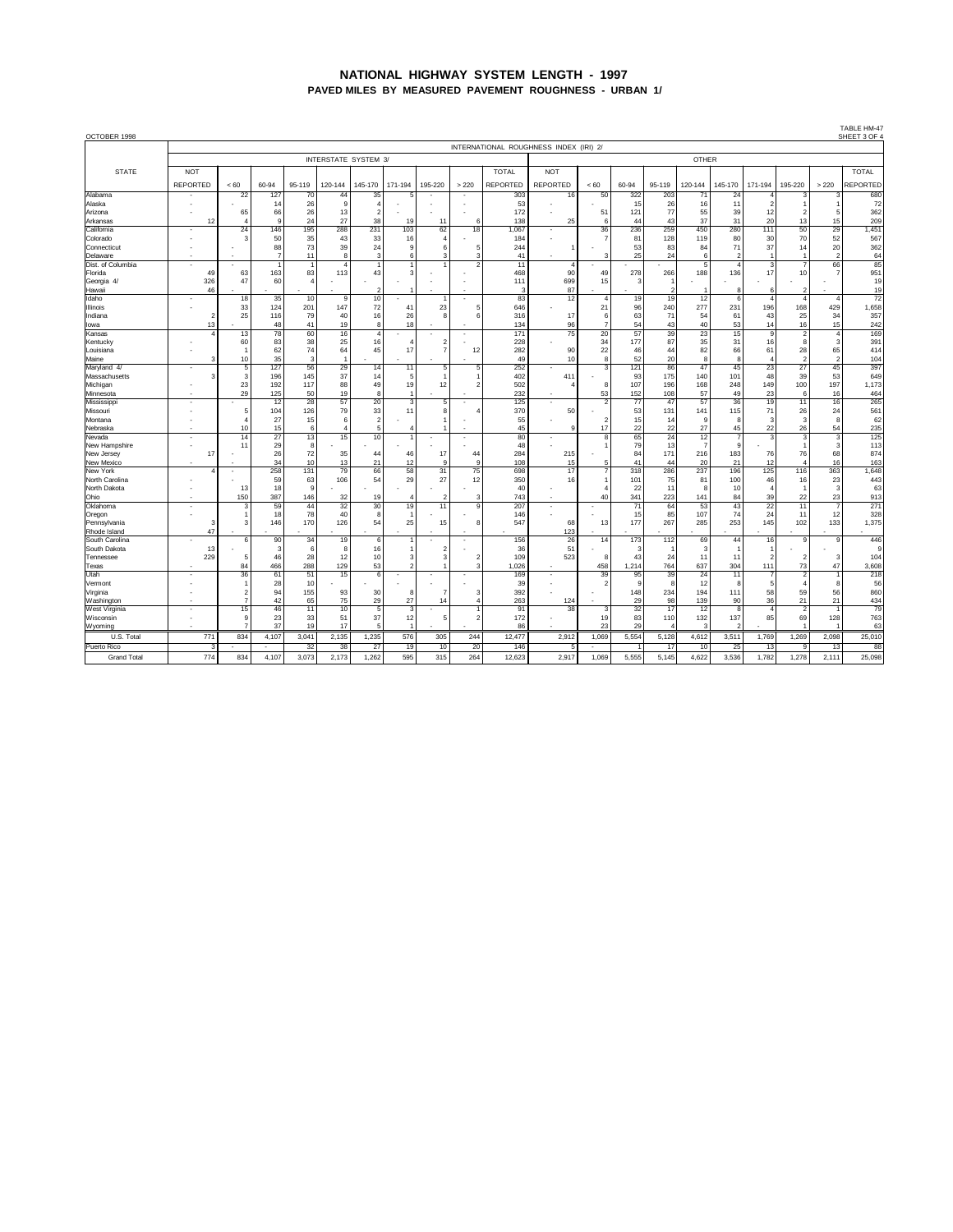#### **NATIONAL HIGHWAY SYSTEM LENGTH - 1997 PAVED MILES BY MEASURED PAVEMENT ROUGHNESS - URBAN 1/**

| OCTOBER 1998                   |                      |                               |                 |                    |                      |                    |                         |                                  |                          |                 |                                        |                         |                 |              |                     |                |                                  |                                |                         | TABLE HM-47<br>SHEET 3 OF 4 |  |
|--------------------------------|----------------------|-------------------------------|-----------------|--------------------|----------------------|--------------------|-------------------------|----------------------------------|--------------------------|-----------------|----------------------------------------|-------------------------|-----------------|--------------|---------------------|----------------|----------------------------------|--------------------------------|-------------------------|-----------------------------|--|
|                                |                      |                               |                 |                    |                      |                    |                         |                                  |                          |                 | INTERNATIONAL ROUGHNESS INDEX (IRI) 2/ |                         |                 |              |                     |                |                                  |                                |                         |                             |  |
|                                | INTERSTATE SYSTEM 3/ |                               |                 |                    |                      |                    |                         |                                  |                          |                 |                                        |                         |                 | <b>OTHER</b> |                     |                |                                  |                                |                         |                             |  |
|                                |                      |                               |                 |                    |                      |                    |                         |                                  |                          |                 |                                        |                         |                 |              |                     |                |                                  |                                |                         |                             |  |
| <b>STATE</b>                   | <b>NOT</b>           |                               |                 |                    |                      |                    |                         |                                  |                          | <b>TOTAL</b>    | <b>NOT</b>                             |                         |                 |              |                     |                |                                  |                                |                         | <b>TOTAL</b>                |  |
|                                | <b>REPORTED</b>      | < 60                          | 60-94           | 95-119             | 120-144              | 145-170            | 171-194                 | 195-220                          | >220                     | <b>REPORTED</b> | <b>REPORTED</b>                        | < 60                    | 60-94           | 95-119       | 120-144             | 145-170        | 171-194                          | 195-220                        | >220                    | <b>REPORTED</b>             |  |
| Alabama                        |                      | 22                            | 127             | 70                 | 44                   | 35                 | 5                       |                                  |                          | 303             | 16                                     | 50                      | 322             | 203          | 71                  | 24             |                                  | 3                              | 3                       | 680                         |  |
| Alaska                         |                      | 65                            | 14<br>66        | 26                 | 9                    | 2                  |                         |                                  |                          | 53<br>172       |                                        | 51                      | 15              | 26<br>77     | 16                  | 11<br>39       | $\overline{\phantom{0}}$         | 2                              | 5                       | 72<br>362                   |  |
| Arizona<br>Arkansas            | 12                   | $\Delta$                      | $\alpha$        | 26<br>24           | 13<br>27             | 38                 | 19                      | 11                               | 6                        | 138             | 25                                     | 6                       | 121<br>44       | 43           | 55<br>37            | 31             | 12<br>20                         | 13                             | 15                      | 209                         |  |
| California                     | ×,                   | 24                            | 146             | 195                | 288                  | 231                | 103                     | 62                               | 18                       | 1,067           | J.                                     | 36                      | 236             | 259          | 450                 | 280            | 111                              | 50                             | 29                      | 1,451                       |  |
| Colorado                       |                      | 3                             | 50              | 35                 | 43                   | 33                 | 16                      | $\overline{4}$                   |                          | 184             |                                        | $\overline{7}$          | 81              | 128          | 119                 | 80             | 30                               | 70                             | 52                      | 567                         |  |
| Connecticut                    |                      |                               | 88              | 73                 | 39                   | 24                 | 9                       | 6                                | 5                        | 244             |                                        |                         | 53              | 83           | 84                  | 71             | 37                               | 14                             | 20                      | 362                         |  |
| Delaware                       |                      |                               | $\overline{7}$  | 11                 | 8                    | 3                  | 6                       | 3                                | 3                        | 41              |                                        | 3                       | 25              | 24           | 6                   | $\overline{2}$ | $\mathbf{1}$                     | $\overline{1}$                 | $\overline{2}$          | 64                          |  |
| Dist. of Columbia              |                      |                               |                 | 1                  | $\Delta$             | 1                  | $\mathbf{1}$            |                                  | $\overline{z}$           | 11              |                                        |                         |                 |              | 5                   | 4              | 3                                | $\overline{7}$                 | 66                      | 85                          |  |
| Florida                        | 49                   | 63<br>47                      | 163             | 83                 | 113                  | 43                 | 3                       |                                  |                          | 468             | 90                                     | 49                      | 278             | 266          | 188                 | 136            | 17                               | 10                             | $\overline{7}$          | 951                         |  |
| Georgia 4/<br>Hawaii           | 326<br>46            |                               | 60              |                    |                      | 2                  | 1                       |                                  |                          | 111             | 699<br>87                              | 15                      | f.              |              |                     | 8              | 6                                | 2                              |                         | 19<br>19                    |  |
| Idaho                          | ×                    | 18                            | 35              | 10                 | 9                    | 10                 |                         |                                  | ÷,                       | 83              | 12                                     | $\overline{4}$          | 19              | 19           | 12                  | 6              | $\overline{4}$                   | $\overline{4}$                 | $\overline{4}$          | $\overline{72}$             |  |
| Illinois                       |                      | 33                            | 124             | 201                | 147                  | 72                 | 41                      | 23                               | 5                        | 646             |                                        | 21                      | 96              | 240          | 277                 | 231            | 196                              | 168                            | 429                     | 1,658                       |  |
| Indiana                        | 2                    | 25                            | 116             | 79                 | 40                   | 16                 | 26                      | 8                                | 6                        | 316             | 17                                     | 6                       | 63              | 71           | 54                  | 61             | 43                               | 25                             | 34                      | 357                         |  |
| lowa                           | 13                   |                               | 48              | 41                 | 19                   | 8                  | 18                      |                                  |                          | 134             | 96                                     | $\overline{7}$          | 54              | 43           | 40                  | 53             | 14                               | 16                             | 15                      | 242                         |  |
| Kansas                         | 4                    | 13                            | 78              | 60                 | 16                   | $\overline{4}$     | ×,                      |                                  | ٠                        | 171             | 75                                     | 20                      | 57              | 39           | 23                  | 15             | 9                                | $\overline{2}$                 | $\overline{4}$          | 169                         |  |
| Kentuckv                       |                      | 60                            | 83              | 38                 | 25                   | 16                 | 4                       | $\overline{2}$<br>$\overline{7}$ |                          | 228             |                                        | 34                      | 177             | 87           | 35                  | 31             | 16                               | 8                              | 3                       | 391                         |  |
| Louisiana<br>Maine             |                      | $\overline{1}$<br>10          | 62<br>35        | 74<br>3            | 64<br>$\overline{1}$ | 45                 | 17                      |                                  | 12                       | 282<br>49       | 90<br>10 <sup>1</sup>                  | 22<br>8                 | 46<br>52        | 44<br>20     | 82<br>8             | 66<br>8        | 61<br>$\overline{4}$             | 28<br>$\overline{\phantom{0}}$ | 65<br>$\overline{z}$    | 414<br>104                  |  |
| Maryland 4/                    |                      | 5                             | 127             | 56                 | 29                   | 14                 | 11                      | 5                                | 5                        | 252             | J.                                     | 3                       | 121             | 86           | 47                  | 45             | 23                               | 27                             | 45                      | 397                         |  |
| Massachusetts                  |                      | 3                             | 196             | 145                | 37                   | 14                 | 5                       |                                  |                          | 402             | 411                                    |                         | 93              | 175          | 140                 | 101            | 48                               | 39                             | 53                      | 649                         |  |
| Michigan                       |                      | 23                            | 192             | 117                | 88                   | 49                 | 19                      | 12                               | 2                        | 502             |                                        | 8                       | 107             | 196          | 168                 | 248            | 149                              | 100                            | 197                     | 1,173                       |  |
| Minnesota                      |                      | 29                            | 125             | 50                 | 19                   | 8                  | $\overline{1}$          |                                  |                          | 232             |                                        | 53                      | 152             | 108          | 57                  | 49             | 23                               | 6                              | 16                      | 464                         |  |
| Mississippi                    |                      |                               | 12              | $\overline{28}$    | 57                   | 20                 | $\overline{\mathbf{3}}$ | 5                                | ٠                        | 125             | ÷,                                     | $\overline{2}$          | $\overline{77}$ | 47           | 57                  | 36             | 19                               | 11                             | 16                      | 265                         |  |
| Missouri                       |                      | 5                             | 104             | 126                | 79                   | 33                 | 11                      | 8<br>$\blacktriangleleft$        |                          | 370             | 50                                     |                         | 53              | 131          | 141                 | 115            | 71                               | 26                             | 24                      | 561                         |  |
| Montana<br>Nebraska            | ٠                    | $\overline{4}$<br>10          | 27<br>15        | 15<br>6            | 6<br>$\overline{4}$  | $\mathcal{P}$<br>5 | 4                       |                                  | ÷                        | 55<br>45        | 9                                      | $\overline{2}$<br>17    | 15<br>22        | 14<br>$22\,$ | 9<br>27             | 8<br>45        | 3<br>22                          | 3<br>26                        | 8<br>54                 | 62<br>235                   |  |
| Nevada                         | ×                    | 14                            | $\overline{27}$ | 13                 | 15                   | 10                 | $\mathbf{1}$            |                                  | i,                       | 80              | ٠                                      | $\overline{\mathbf{a}}$ | 65              | 24           | 12                  | $\overline{7}$ | 3                                | 3                              | $\overline{\mathbf{3}}$ | 125                         |  |
| New Hampshire                  |                      | 11                            | 29              | 8                  |                      |                    |                         |                                  |                          | 48              |                                        | $\overline{1}$          | 79              | 13           | $\overline{7}$      | 9              |                                  | $\overline{1}$                 | 3                       | 113                         |  |
| New Jersey                     | 17                   |                               | 26              | 72                 | 35                   | 44                 | 46                      | 17                               | 44                       | 284             | 215                                    |                         | 84              | 171          | 216                 | 183            | 76                               | 76                             | 68                      | 874                         |  |
| New Mexico                     |                      |                               | 34              | 10                 | 13                   | 21                 | 12                      | 9                                | 9                        | 108             | 15                                     | 5                       | 41              | 44           | 20                  | 21             | 12                               | $\boldsymbol{\Lambda}$         | 16                      | 163                         |  |
| New York                       | Δ                    |                               | 258             | 131                | 79                   | 66                 | 58                      | 31                               | 75                       | 698             | 17                                     | $\overline{7}$          | 318             | 286          | 237                 | 196            | 125                              | 116                            | 363                     | 1,648                       |  |
| North Carolina<br>North Dakota |                      | 13                            | 59<br>18        | 63<br>$\mathbf{c}$ | 106                  | 54                 | 29                      | 27                               | 12                       | 350<br>40       | 16                                     | $\overline{1}$          | 101<br>22       | 75<br>11     | 81<br>-8            | 100<br>10      | 46<br>$\overline{4}$             | 16<br>$\overline{1}$           | 23<br>3                 | 443<br>63                   |  |
| Ohio                           |                      | 150                           | 387             | 146                | 32                   | 19                 | $\overline{4}$          | $\overline{2}$                   | 3                        | 743             |                                        | 40                      | 341             | 223          | 141                 | 84             | 39                               | 22                             | 23                      | 913                         |  |
| Oklahoma                       | ×                    | 3                             | 59              | 44                 | 32                   | 30                 | 19                      | 11                               | 9                        | 207             | ٠                                      |                         | $\overline{71}$ | 64           | 53                  | 43             | 22                               | 11                             | 7                       | 271                         |  |
| Oregon                         |                      | $\mathbf{1}$                  | 18              | 78                 | 40                   | 8                  | $\mathbf{1}$            |                                  |                          | 146             |                                        |                         | 15              | 85           | 107                 | 74             | 24                               | 11                             | 12                      | 328                         |  |
| Pennsylvania                   | з                    | 3                             | 146             | 170                | 126                  | 54                 | 25                      | 15                               | 8                        | 547             | 68                                     | 13                      | 177             | 267          | 285                 | 253            | 145                              | 102                            | 133                     | 1,375                       |  |
| Rhode Island                   | 47                   |                               |                 |                    |                      |                    |                         |                                  |                          |                 | 123                                    |                         |                 |              |                     |                |                                  |                                |                         |                             |  |
| South Carolina                 |                      | 6                             | 90<br>3         | 34<br>6            | 19                   | 6                  | 1                       |                                  |                          | 156             | 26                                     | 14                      | 173             | 112          | 69                  | 44             | 16                               | 9                              | 9                       | 446<br>$\mathbf{q}$         |  |
| South Dakota<br>Tennessee      | 13<br>229            | 5                             | 46              | 28                 | 8<br>12              | 16<br>10           | 1<br>3                  | $\overline{\phantom{a}}$<br>3    | 2                        | 36<br>109       | 51<br>523                              | 8                       | f.<br>43        | 24           | 3<br>11             | 1<br>11        | $\overline{1}$<br>$\overline{2}$ | $\overline{2}$                 | 3                       | 104                         |  |
| Texas                          |                      | 84                            | 466             | 288                | 129                  | 53                 | $\overline{a}$          |                                  | 3                        | 1.026           |                                        | 458                     | 1.214           | 764          | 637                 | 304            | 111                              | 73                             | 47                      | 3,608                       |  |
| Utah                           |                      | 36                            | 61              | 51                 | 15                   | 6                  | ٠                       |                                  |                          | 169             | $\overline{\phantom{a}}$               | 39                      | 95              | 39           | 24                  | 11             |                                  | $\overline{2}$                 | 1                       | 218                         |  |
| Vermont                        |                      | $\mathbf{1}$                  | 28              | 10                 |                      |                    |                         |                                  |                          | 39              |                                        | $\overline{2}$          | $\alpha$        | 8            | 12                  | 8              | 5                                | 4                              | 8                       | 56                          |  |
| Virginia                       |                      | $\overline{2}$                | 94              | 155                | 93                   | 30                 | 8                       | $\overline{7}$                   | 3                        | 392             |                                        |                         | 148             | 234          | 194                 | 111            | 58                               | 59                             | 56                      | 860                         |  |
| Washington                     |                      | $\overline{7}$                | 42              | 65                 | 75                   | 29                 | 27                      | 14                               | $\Delta$                 | 263             | 124                                    |                         | 29              | 98           | 139                 | 90             | 36                               | 21                             | 21                      | 434                         |  |
| West Virginia                  | ×,                   | 15                            | 46              | 11                 | 10                   | 5                  | 3                       |                                  | 1                        | 91              | 38                                     | 3                       | 32              | 17           | 12                  | 8              | $\overline{4}$                   | $\overline{\mathbf{c}}$        | $\overline{1}$          | 79                          |  |
| Wisconsin<br>Wyoming           | ٠                    | $\mathsf g$<br>$\overline{7}$ | 23<br>37        | 33<br>19           | 51<br>17             | 37<br>5            | 12<br>$\overline{1}$    | 5                                | $\overline{\phantom{a}}$ | 172<br>86       |                                        | 19<br>23                | 83<br>29        | 110          | 132<br>$\mathbf{R}$ | 137<br>2       | 85                               | 69                             | 128<br>-1               | 763<br>63                   |  |
| U.S. Total                     | 771                  | 834                           | 4,107           | 3,041              | 2,135                | 1,235              | 576                     | 305                              | 244                      | 12,477          | 2,912                                  | 1,069                   | 5,554           | 5,128        | 4,612               | 3,511          | 1,769                            | 1,269                          | 2,098                   | 25,010                      |  |
| Puerto Rico                    |                      |                               |                 | 32                 | 38                   | 27                 | 19                      | 10                               | 20                       | 146             | 5                                      |                         |                 | 17           | 10                  | 25             | 13                               | 9                              | 13                      | 88                          |  |
| <b>Grand Total</b>             | 774                  | 834                           | 4,107           | 3,073              | 2,173                | 1,262              | 595                     | 315                              | 264                      | 12,623          | 2,917                                  | 1,069                   | 5,555           | 5,145        | 4,622               | 3,536          | 1,782                            | 1,278                          | 2,111                   | 25,098                      |  |